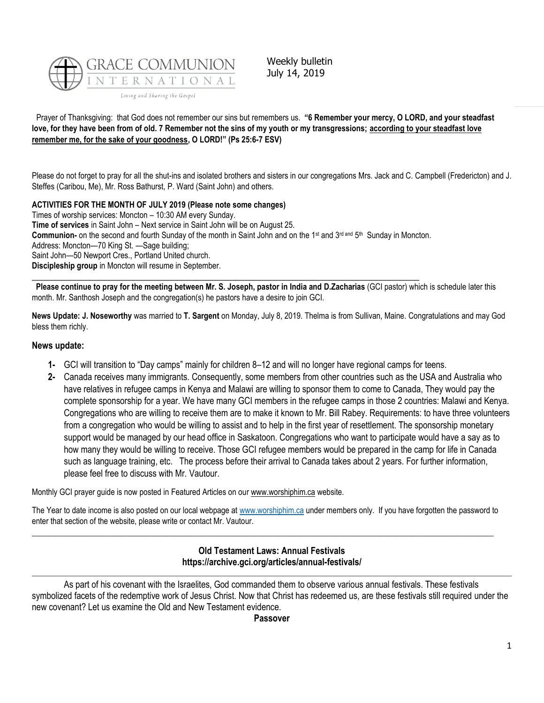

Weekly bulletin July 14, 2019

Prayer of Thanksgiving: that God does not remember our sins but remembers us. **"6 Remember your mercy, O LORD, and your steadfast love, for they have been from of old. 7 Remember not the sins of my youth or my transgressions; according to your steadfast love remember me, for the sake of your goodness, O LORD!" (Ps 25:6-7 ESV)**

Please do not forget to pray for all the shut-ins and isolated brothers and sisters in our congregations Mrs. Jack and C. Campbell (Fredericton) and J. Steffes (Caribou, Me), Mr. Ross Bathurst, P. Ward (Saint John) and others.

**ACTIVITIES FOR THE MONTH OF JULY 2019 (Please note some changes)** Times of worship services: Moncton – 10:30 AM every Sunday. **Time of services** in Saint John – Next service in Saint John will be on August 25. Communion- on the second and fourth Sunday of the month in Saint John and on the 1<sup>st</sup> and 3<sup>rd and</sup> 5<sup>th</sup> Sunday in Moncton. Address: Moncton—70 King St. —Sage building; Saint John—50 Newport Cres., Portland United church. **Discipleship group** in Moncton will resume in September.

 $\_$  ,  $\_$  ,  $\_$  ,  $\_$  ,  $\_$  ,  $\_$  ,  $\_$  ,  $\_$  ,  $\_$  ,  $\_$  ,  $\_$  ,  $\_$  ,  $\_$  ,  $\_$  ,  $\_$  ,  $\_$  ,  $\_$  ,  $\_$  ,  $\_$  ,  $\_$ **Please continue to pray for the meeting between Mr. S. Joseph, pastor in India and D.Zacharias** (GCI pastor) which is schedule later this month. Mr. Santhosh Joseph and the congregation(s) he pastors have a desire to join GCI.

**News Update: J. Noseworthy** was married to **T. Sargent** on Monday, July 8, 2019. Thelma is from Sullivan, Maine. Congratulations and may God bless them richly.

# **News update:**

- **1-** GCI will transition to "Day camps" mainly for children 8–12 and will no longer have regional camps for teens.
- **2-** Canada receives many immigrants. Consequently, some members from other countries such as the USA and Australia who have relatives in refugee camps in Kenya and Malawi are willing to sponsor them to come to Canada, They would pay the complete sponsorship for a year. We have many GCI members in the refugee camps in those 2 countries: Malawi and Kenya. Congregations who are willing to receive them are to make it known to Mr. Bill Rabey. Requirements: to have three volunteers from a congregation who would be willing to assist and to help in the first year of resettlement. The sponsorship monetary support would be managed by our head office in Saskatoon. Congregations who want to participate would have a say as to how many they would be willing to receive. Those GCI refugee members would be prepared in the camp for life in Canada such as language training, etc. The process before their arrival to Canada takes about 2 years. For further information, please feel free to discuss with Mr. Vautour.

Monthly GCI prayer guide is now posted in Featured Articles on ou[r www.worshiphim.ca](http://www.worshiphim.ca/) website.

The Year to date income is also posted on our local webpage at [www.worshiphim.ca](http://www.worshiphim.ca/) under members only. If you have forgotten the password to enter that section of the website, please write or contact Mr. Vautour.

 $\_$  ,  $\_$  ,  $\_$  ,  $\_$  ,  $\_$  ,  $\_$  ,  $\_$  ,  $\_$  ,  $\_$  ,  $\_$  ,  $\_$  ,  $\_$  ,  $\_$  ,  $\_$  ,  $\_$  ,  $\_$  ,  $\_$  ,  $\_$  ,  $\_$  ,  $\_$  ,  $\_$  ,  $\_$  ,  $\_$  ,  $\_$  ,  $\_$  ,  $\_$  ,  $\_$  ,  $\_$  ,  $\_$  ,  $\_$  ,  $\_$  ,  $\_$  ,  $\_$  ,  $\_$  ,  $\_$  ,  $\_$  ,  $\_$  ,

**Old Testament Laws: Annual Festivals https://archive.gci.org/articles/annual-festivals/**

As part of his covenant with the Israelites, God commanded them to observe various annual festivals. These festivals symbolized facets of the redemptive work of Jesus Christ. Now that Christ has redeemed us, are these festivals still required under the new covenant? Let us examine the Old and New Testament evidence.

#### **Passover**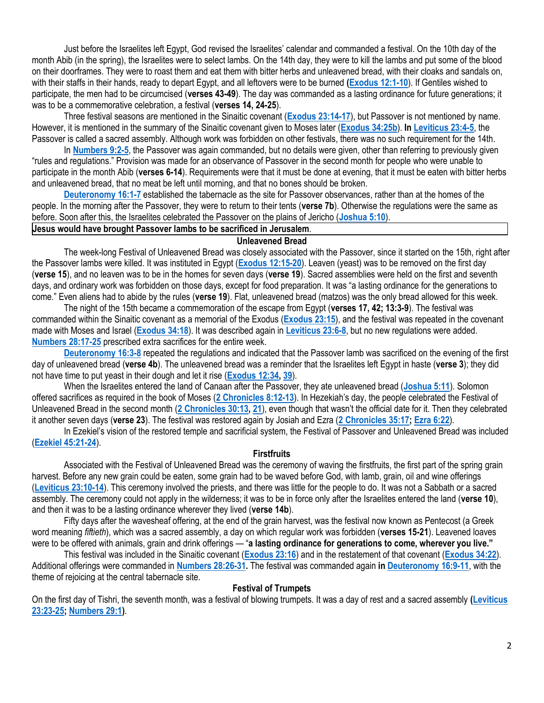Just before the Israelites left Egypt, God revised the Israelites' calendar and commanded a festival. On the 10th day of the month Abib (in the spring), the Israelites were to select lambs. On the 14th day, they were to kill the lambs and put some of the blood on their doorframes. They were to roast them and eat them with bitter herbs and unleavened bread, with their cloaks and sandals on, with their staffs in their hands, ready to depart Egypt, and all leftovers were to be burned **[\(Exodus 12:1-10](https://biblia.com/bible/niv/Exod%2012.1-10)**). If Gentiles wished to participate, the men had to be circumcised (**verses 43-49**). The day was commanded as a lasting ordinance for future generations; it was to be a commemorative celebration, a festival (**verses 14, 24-25**).

Three festival seasons are mentioned in the Sinaitic covenant (**[Exodus 23:14-17](https://biblia.com/bible/niv/Exod%2023.14-17)**), but Passover is not mentioned by name. However, it is mentioned in the summary of the Sinaitic covenant given to Moses later (**[Exodus 34:25b](https://biblia.com/bible/niv/Exod%2034.25b)**). **I[n Leviticus 23:4-5](https://biblia.com/bible/niv/Lev%2023.4-5)**, the Passover is called a sacred assembly. Although work was forbidden on other festivals, there was no such requirement for the 14th.

In **[Numbers 9:2-5](https://biblia.com/bible/niv/Num%209.2-5)**, the Passover was again commanded, but no details were given, other than referring to previously given "rules and regulations." Provision was made for an observance of Passover in the second month for people who were unable to participate in the month Abib (**verses 6-14**). Requirements were that it must be done at evening, that it must be eaten with bitter herbs and unleavened bread, that no meat be left until morning, and that no bones should be broken.

**[Deuteronomy 16:1-7](https://biblia.com/bible/niv/Deut%2016.1-7)** established the tabernacle as the site for Passover observances, rather than at the homes of the people. In the morning after the Passover, they were to return to their tents (**verse 7b**). Otherwise the regulations were the same as before. Soon after this, the Israelites celebrated the Passover on the plains of Jericho (**[Joshua 5:10](https://biblia.com/bible/niv/Josh%205.10)**).

# **Jesus would have brought Passover lambs to be sacrificed in Jerusalem**.

#### **Unleavened Bread**

The week-long Festival of Unleavened Bread was closely associated with the Passover, since it started on the 15th, right after the Passover lambs were killed. It was instituted in Egypt (**[Exodus 12:15-20](https://biblia.com/bible/niv/Exod%2012.15-20)**). Leaven (yeast) was to be removed on the first day (**verse 15**), and no leaven was to be in the homes for seven days (**verse 19**). Sacred assemblies were held on the first and seventh days, and ordinary work was forbidden on those days, except for food preparation. It was "a lasting ordinance for the generations to come." Even aliens had to abide by the rules (**verse 19**). Flat, unleavened bread (matzos) was the only bread allowed for this week.

The night of the 15th became a commemoration of the escape from Egypt (**verses 17, 42; 13:3-9**). The festival was commanded within the Sinaitic covenant as a memorial of the Exodus (**[Exodus 23:15](https://biblia.com/bible/niv/Exod%2023.15)**), and the festival was repeated in the covenant made with Moses and Israel (**[Exodus 34:18](https://biblia.com/bible/niv/Exod%2034.18)**). It was described again in **[Leviticus 23:6-8](https://biblia.com/bible/niv/Lev%2023.6-8)**, but no new regulations were added. **[Numbers 28:17-25](https://biblia.com/bible/niv/Num%2028.17-25)** prescribed extra sacrifices for the entire week.

**[Deuteronomy 16:3-8](https://biblia.com/bible/niv/Deut%2016.3-8)** repeated the regulations and indicated that the Passover lamb was sacrificed on the evening of the first day of unleavened bread (**verse 4b**). The unleavened bread was a reminder that the Israelites left Egypt in haste (**verse 3**); they did not have time to put yeast in their dough and let it rise (**[Exodus 12:34,](https://biblia.com/bible/niv/Exod%2012.34) [39](https://biblia.com/bible/niv/Exodus%2012.39)**).

When the Israelites entered the land of Canaan after the Passover, they ate unleavened bread (**[Joshua 5:11](https://biblia.com/bible/niv/Josh%205.11)**). Solomon offered sacrifices as required in the book of Moses (**[2 Chronicles 8:12-13](https://biblia.com/bible/niv/2%20Chron%208.12-13)**). In Hezekiah's day, the people celebrated the Festival of Unleavened Bread in the second month (**[2 Chronicles 30:13,](https://biblia.com/bible/niv/2%20Chron%2030.13) [21](https://biblia.com/bible/niv/2%20Chronicles%2030.21)**), even though that wasn't the official date for it. Then they celebrated it another seven days (**verse 23**). The festival was restored again by Josiah and Ezra (**[2 Chronicles 35:17;](https://biblia.com/bible/niv/2%20Chron%2035.17) [Ezra 6:22](https://biblia.com/bible/niv/Ezra%206.22)**).

In Ezekiel's vision of the restored temple and sacrificial system, the Festival of Passover and Unleavened Bread was included (**[Ezekiel 45:21-24](https://biblia.com/bible/niv/Ezek%2045.21-24)**).

### **Firstfruits**

Associated with the Festival of Unleavened Bread was the ceremony of waving the firstfruits, the first part of the spring grain harvest. Before any new grain could be eaten, some grain had to be waved before God, with lamb, grain, oil and wine offerings (**[Leviticus 23:10-14](https://biblia.com/bible/niv/Lev%2023.10-14)**). This ceremony involved the priests, and there was little for the people to do. It was not a Sabbath or a sacred assembly. The ceremony could not apply in the wilderness; it was to be in force only after the Israelites entered the land (**verse 10**), and then it was to be a lasting ordinance wherever they lived (**verse 14b**).

Fifty days after the wavesheaf offering, at the end of the grain harvest, was the festival now known as Pentecost (a Greek word meaning *fiftieth*), which was a sacred assembly, a day on which regular work was forbidden (**verses 15-21**). Leavened loaves were to be offered with animals, grain and drink offerings — "**a lasting ordinance for generations to come, wherever you live."**

This festival was included in the Sinaitic covenant (**[Exodus 23:16](https://biblia.com/bible/niv/Exod%2023.16)**) and in the restatement of that covenant (**[Exodus 34:22](https://biblia.com/bible/niv/Exod%2034.22)**). Additional offerings were commanded in **[Numbers 28:26-31.](https://biblia.com/bible/niv/Num%2028.26-31)** The festival was commanded again **in [Deuteronomy 16:9-11](https://biblia.com/bible/niv/Deut%2016.9-11)**, with the theme of rejoicing at the central tabernacle site.

### **Festival of Trumpets**

On the first day of Tishri, the seventh month, was a festival of blowing trumpets. It was a day of rest and a sacred assembly **[\(Leviticus](https://biblia.com/bible/niv/Lev%2023.23-25)  [23:23-25;](https://biblia.com/bible/niv/Lev%2023.23-25) [Numbers 29:1\)](https://biblia.com/bible/niv/Num%2029.1)**.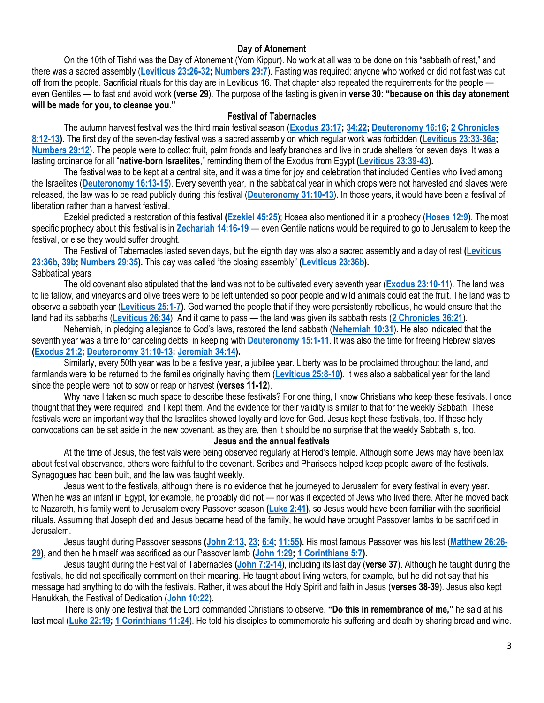# **Day of Atonement**

On the 10th of Tishri was the Day of Atonement (Yom Kippur). No work at all was to be done on this "sabbath of rest," and there was a sacred assembly (**[Leviticus 23:26-32;](https://biblia.com/bible/niv/Lev%2023.26-32) [Numbers 29:7](https://biblia.com/bible/niv/Num%2029.7)**). Fasting was required; anyone who worked or did not fast was cut off from the people. Sacrificial rituals for this day are in Leviticus 16. That chapter also repeated the requirements for the people even Gentiles — to fast and avoid work **(verse 29**). The purpose of the fasting is given in **verse 30: "because on this day atonement will be made for you, to cleanse you."**

## **Festival of Tabernacles**

The autumn harvest festival was the third main festival season (**[Exodus 23:17;](https://biblia.com/bible/niv/Exod%2023.17) [34:22;](https://biblia.com/bible/niv/Exodus%2034.22) [Deuteronomy 16:16;](https://biblia.com/bible/niv/Deut%2016.16) [2 Chronicles](https://biblia.com/bible/niv/2%20Chron%208.12-13)  [8:12-13\)](https://biblia.com/bible/niv/2%20Chron%208.12-13)**. The first day of the seven-day festival was a sacred assembly on which regular work was forbidden **[\(Leviticus 23:33-36a;](https://biblia.com/bible/niv/Lev%2023.33-36a) [Numbers 29:12](https://biblia.com/bible/niv/Num%2029.12)**). The people were to collect fruit, palm fronds and leafy branches and live in crude shelters for seven days. It was a lasting ordinance for all "**native-born Israelites**," reminding them of the Exodus from Egypt **[\(Leviticus 23:39-43\)](https://biblia.com/bible/niv/Lev%2023.39-43).**

The festival was to be kept at a central site, and it was a time for joy and celebration that included Gentiles who lived among the Israelites (**[Deuteronomy 16:13-15](https://biblia.com/bible/niv/Deut%2016.13-15)**). Every seventh year, in the sabbatical year in which crops were not harvested and slaves were released, the law was to be read publicly during this festival (**[Deuteronomy 31:10-13](https://biblia.com/bible/niv/Deut%2031.10-13)**). In those years, it would have been a festival of liberation rather than a harvest festival.

Ezekiel predicted a restoration of this festival **[\(Ezekiel 45:25](https://biblia.com/bible/niv/Ezek%2045.25)**); Hosea also mentioned it in a prophecy (**[Hosea 12:9](https://biblia.com/bible/niv/Hos%2012.9)**). The most specific prophecy about this festival is in **[Zechariah 14:16-19](https://biblia.com/bible/niv/Zech%2014.16-19)** — even Gentile nations would be required to go to Jerusalem to keep the festival, or else they would suffer drought.

The Festival of Tabernacles lasted seven days, but the eighth day was also a sacred assembly and a day of rest **[\(Leviticus](https://biblia.com/bible/niv/Lev%2023.36b)  [23:36b,](https://biblia.com/bible/niv/Lev%2023.36b) [39b;](https://biblia.com/bible/niv/Leviticus%2023.39b) [Numbers 29:35\)](https://biblia.com/bible/niv/Num%2029.35).** This day was called "the closing assembly" **[\(Leviticus 23:36b\)](https://biblia.com/bible/niv/Lev%2023.36b).** Sabbatical years

The old covenant also stipulated that the land was not to be cultivated every seventh year (**[Exodus 23:10-11](https://biblia.com/bible/niv/Exod%2023.10-11)**). The land was to lie fallow, and vineyards and olive trees were to be left untended so poor people and wild animals could eat the fruit. The land was to observe a sabbath year (**[Leviticus 25:1-7\)](https://biblia.com/bible/niv/Lev%2025.1-7)**. God warned the people that if they were persistently rebellious, he would ensure that the land had its sabbaths (**[Leviticus 26:34](https://biblia.com/bible/niv/Lev%2026.34)**). And it came to pass — the land was given its sabbath rests (**[2 Chronicles 36:21](https://biblia.com/bible/niv/2%20Chron%2036.21)**).

Nehemiah, in pledging allegiance to God's laws, restored the land sabbath (**[Nehemiah 10:31](https://biblia.com/bible/niv/Neh%2010.31)**). He also indicated that the seventh year was a time for canceling debts, in keeping with **[Deuteronomy 15:1-11](https://biblia.com/bible/niv/Deut%2015.1-11)**. It was also the time for freeing Hebrew slaves **[\(Exodus 21:2;](https://biblia.com/bible/niv/Exod%2021.2) [Deuteronomy 31:10-13;](https://biblia.com/bible/niv/Deut%2031.10-13) [Jeremiah 34:14\)](https://biblia.com/bible/niv/Jer%2034.14).**

Similarly, every 50th year was to be a festive year, a jubilee year. Liberty was to be proclaimed throughout the land, and farmlands were to be returned to the families originally having them (**[Leviticus 25:8-10\)](https://biblia.com/bible/niv/Lev%2025.8-10)**. It was also a sabbatical year for the land, since the people were not to sow or reap or harvest (**verses 11-12**).

Why have I taken so much space to describe these festivals? For one thing, I know Christians who keep these festivals. I once thought that they were required, and I kept them. And the evidence for their validity is similar to that for the weekly Sabbath. These festivals were an important way that the Israelites showed loyalty and love for God. Jesus kept these festivals, too. If these holy convocations can be set aside in the new covenant, as they are, then it should be no surprise that the weekly Sabbath is, too.

# **Jesus and the annual festivals**

At the time of Jesus, the festivals were being observed regularly at Herod's temple. Although some Jews may have been lax about festival observance, others were faithful to the covenant. Scribes and Pharisees helped keep people aware of the festivals. Synagogues had been built, and the law was taught weekly.

Jesus went to the festivals, although there is no evidence that he journeyed to Jerusalem for every festival in every year. When he was an infant in Egypt, for example, he probably did not — nor was it expected of Jews who lived there. After he moved back to Nazareth, his family went to Jerusalem every Passover season **[\(Luke 2:41\)](https://biblia.com/bible/niv/Luke%202.41),** so Jesus would have been familiar with the sacrificial rituals. Assuming that Joseph died and Jesus became head of the family, he would have brought Passover lambs to be sacrificed in Jerusalem.

Jesus taught during Passover seasons **[\(John 2:13,](https://biblia.com/bible/niv/John%202.13) [23;](https://biblia.com/bible/niv/John%202.23) [6:4;](https://biblia.com/bible/niv/John%206.4) [11:55\)](https://biblia.com/bible/niv/John%2011.55).** His most famous Passover was his last (**[Matthew 26:26-](https://biblia.com/bible/niv/Matt%2026.26-29) [29\)](https://biblia.com/bible/niv/Matt%2026.26-29)**, and then he himself was sacrificed as our Passover lamb **[\(John 1:29;](https://biblia.com/bible/niv/John%201.29) [1 Corinthians 5:7\)](https://biblia.com/bible/niv/1%20Cor%205.7).**

Jesus taught during the Festival of Tabernacles **[\(John 7:2-14](https://biblia.com/bible/niv/John%207.2-14)**), including its last day (**verse 37**). Although he taught during the festivals, he did not specifically comment on their meaning. He taught about living waters, for example, but he did not say that his message had anything to do with the festivals. Rather, it was about the Holy Spirit and faith in Jesus (**verses 38-39**). Jesus also kept Hanukkah, the Festival of Dedication (J**[ohn 10:22](https://biblia.com/bible/niv/John%2010.22)**).

There is only one festival that the Lord commanded Christians to observe. **"Do this in remembrance of me,"** he said at his last meal (**[Luke 22:19;](https://biblia.com/bible/niv/Luke%2022.19) [1 Corinthians 11:24](https://biblia.com/bible/niv/1%20Cor%2011.24)**). He told his disciples to commemorate his suffering and death by sharing bread and wine.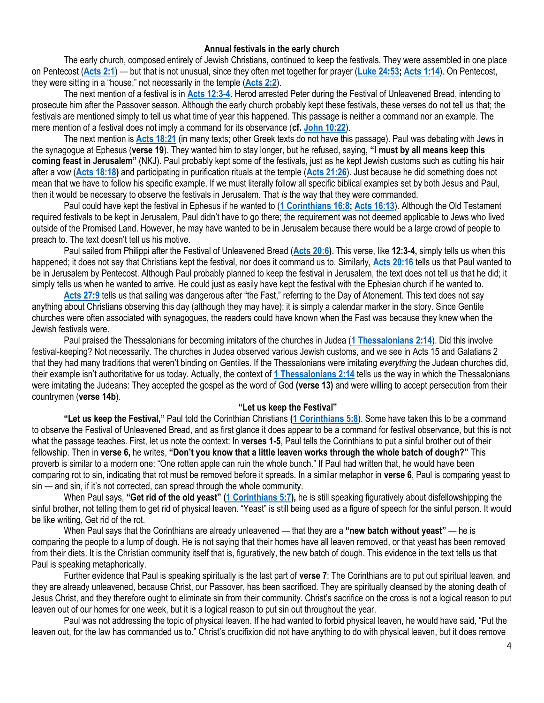#### **Annual festivals in the early church**

The early church, composed entirely of Jewish Christians, continued to keep the festivals. They were assembled in one place on Pentecost (**[Acts 2:1](https://biblia.com/bible/niv/Acts%202.1)**) — but that is not unusual, since they often met together for prayer (**[Luke 24:53;](https://biblia.com/bible/niv/Luke%2024.53) [Acts 1:14](https://biblia.com/bible/niv/Acts%201.14)**). On Pentecost, they were sitting in a "house," not necessarily in the temple (**[Acts 2:2](https://biblia.com/bible/niv/Acts%202.2)**).

The next mention of a festival is in **[Acts 12:3-4](https://biblia.com/bible/niv/Acts%2012.3-4)**. Herod arrested Peter during the Festival of Unleavened Bread, intending to prosecute him after the Passover season. Although the early church probably kept these festivals, these verses do not tell us that; the festivals are mentioned simply to tell us what time of year this happened. This passage is neither a command nor an example. The mere mention of a festival does not imply a command for its observance (**cf. [John 10:22](https://biblia.com/bible/niv/John%2010.22)**).

The next mention is **[Acts 18:21](https://biblia.com/bible/niv/Acts%2018.21)** (in many texts; other Greek texts do not have this passage). Paul was debating with Jews in the synagogue at Ephesus (**verse 19**). They wanted him to stay longer, but he refused, saying, **"I must by all means keep this coming feast in Jerusalem"** (NKJ). Paul probably kept some of the festivals, just as he kept Jewish customs such as cutting his hair after a vow (**[Acts 18:18\)](https://biblia.com/bible/niv/Acts%2018.18)** and participating in purification rituals at the temple (**[Acts 21:26](https://biblia.com/bible/niv/Acts%2021.26)**). Just because he did something does not mean that we have to follow his specific example. If we must literally follow all specific biblical examples set by both Jesus and Paul, then it would be necessary to observe the festivals in Jerusalem. That *is* the way that they were commanded.

Paul could have kept the festival in Ephesus if he wanted to (**[1 Corinthians 16:8;](https://biblia.com/bible/niv/1%20Cor%2016.8) [Acts 16:13](https://biblia.com/bible/niv/Acts%2016.13)**). Although the Old Testament required festivals to be kept in Jerusalem, Paul didn't have to go there; the requirement was not deemed applicable to Jews who lived outside of the Promised Land. However, he may have wanted to be in Jerusalem because there would be a large crowd of people to preach to. The text doesn't tell us his motive.

Paul sailed from Philippi after the Festival of Unleavened Bread (**[Acts 20:6\)](https://biblia.com/bible/niv/Acts%2020.6)**. This verse, like **12:3-4,** simply tells us when this happened; it does not say that Christians kept the festival, nor does it command us to. Similarly, **[Acts 20:16](https://biblia.com/bible/niv/Acts%2020.16)** tells us that Paul wanted to be in Jerusalem by Pentecost. Although Paul probably planned to keep the festival in Jerusalem, the text does not tell us that he did; it simply tells us when he wanted to arrive. He could just as easily have kept the festival with the Ephesian church if he wanted to.

**[Acts 27:9](https://biblia.com/bible/niv/Acts%2027.9)** tells us that sailing was dangerous after "the Fast," referring to the Day of Atonement. This text does not say anything about Christians observing this day (although they may have); it is simply a calendar marker in the story. Since Gentile churches were often associated with synagogues, the readers could have known when the Fast was because they knew when the Jewish festivals were.

Paul praised the Thessalonians for becoming imitators of the churches in Judea (**[1 Thessalonians 2:14](https://biblia.com/bible/niv/1%20Thess%202.14)**). Did this involve festival-keeping? Not necessarily. The churches in Judea observed various Jewish customs, and we see in Acts 15 and Galatians 2 that they had many traditions that weren't binding on Gentiles. If the Thessalonians were imitating *everything* the Judean churches did, their example isn't authoritative for us today. Actually, the context of **[1 Thessalonians 2:14](https://biblia.com/bible/niv/1%20Thess%202.14)** tells us the way in which the Thessalonians were imitating the Judeans: They accepted the gospel as the word of God **(verse 13)** and were willing to accept persecution from their countrymen (**verse 14b**).

## **"Let us keep the Festival"**

**"Let us keep the Festival,"** Paul told the Corinthian Christians **[\(1 Corinthians 5:8](https://biblia.com/bible/niv/1%20Cor%205.8)**). Some have taken this to be a command to observe the Festival of Unleavened Bread, and as first glance it does appear to be a command for festival observance, but this is not what the passage teaches. First, let us note the context: In **verses 1-5**, Paul tells the Corinthians to put a sinful brother out of their fellowship. Then in **verse 6,** he writes, **"Don't you know that a little leaven works through the whole batch of dough?"** This proverb is similar to a modern one: "One rotten apple can ruin the whole bunch." If Paul had written that, he would have been comparing rot to sin, indicating that rot must be removed before it spreads. In a similar metaphor in **verse 6**, Paul is comparing yeast to sin — and sin, if it's not corrected, can spread through the whole community.

When Paul says, **"Get rid of the old yeast" ([1 Corinthians 5:7\)](https://biblia.com/bible/niv/1%20Cor%205.7),** he is still speaking figuratively about disfellowshipping the sinful brother, not telling them to get rid of physical leaven. "Yeast" is still being used as a figure of speech for the sinful person. It would be like writing, Get rid of the rot.

When Paul says that the Corinthians are already unleavened — that they are a **"new batch without yeast"** — he is comparing the people to a lump of dough. He is not saying that their homes have all leaven removed, or that yeast has been removed from their diets. It is the Christian community itself that is, figuratively, the new batch of dough. This evidence in the text tells us that Paul is speaking metaphorically.

Further evidence that Paul is speaking spiritually is the last part of **verse 7**: The Corinthians are to put out spiritual leaven, and they are already unleavened, because Christ, our Passover, has been sacrificed. They are spiritually cleansed by the atoning death of Jesus Christ, and they therefore ought to eliminate sin from their community. Christ's sacrifice on the cross is not a logical reason to put leaven out of our homes for one week, but it is a logical reason to put sin out throughout the year.

Paul was not addressing the topic of physical leaven. If he had wanted to forbid physical leaven, he would have said, "Put the leaven out, for the law has commanded us to." Christ's crucifixion did not have anything to do with physical leaven, but it does remove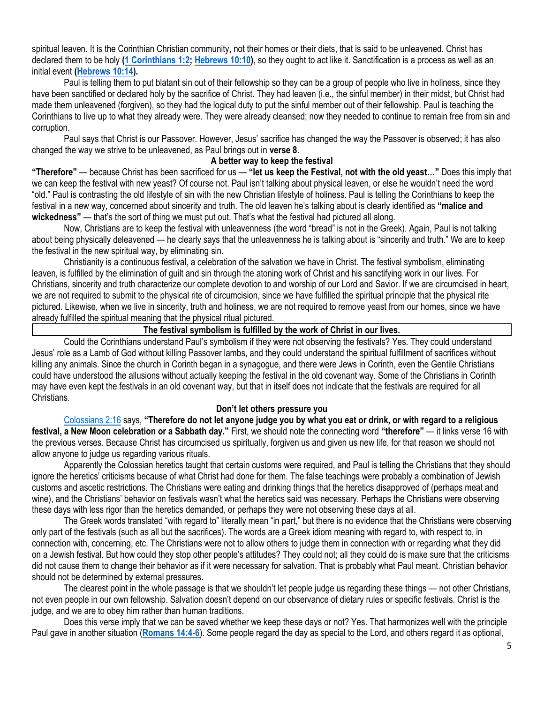spiritual leaven. It is the Corinthian Christian community, not their homes or their diets, that is said to be unleavened. Christ has declared them to be holy **[\(1 Corinthians 1:2;](https://biblia.com/bible/niv/1%20Cor%201.2) [Hebrews 10:10\)](https://biblia.com/bible/niv/Heb%2010.10)**, so they ought to act like it. Sanctification is a process as well as an initial event **[\(Hebrews 10:14\)](https://biblia.com/bible/niv/Heb%2010.14).**

Paul is telling them to put blatant sin out of their fellowship so they can be a group of people who live in holiness, since they have been sanctified or declared holy by the sacrifice of Christ. They had leaven (i.e., the sinful member) in their midst, but Christ had made them unleavened (forgiven), so they had the logical duty to put the sinful member out of their fellowship. Paul is teaching the Corinthians to live up to what they already were. They were already cleansed; now they needed to continue to remain free from sin and corruption.

Paul says that Christ is our Passover. However, Jesus' sacrifice has changed the way the Passover is observed; it has also changed the way we strive to be unleavened, as Paul brings out in **verse 8**.

## **A better way to keep the festival**

**"Therefore"** — because Christ has been sacrificed for us — **"let us keep the Festival, not with the old yeast…"** Does this imply that we can keep the festival with new yeast? Of course not. Paul isn't talking about physical leaven, or else he wouldn't need the word "old." Paul is contrasting the old lifestyle of sin with the new Christian lifestyle of holiness. Paul is telling the Corinthians to keep the festival in a new way, concerned about sincerity and truth. The old leaven he's talking about is clearly identified as **"malice and wickedness"** — that's the sort of thing we must put out. That's what the festival had pictured all along.

Now, Christians are to keep the festival with unleavenness (the word "bread" is not in the Greek). Again, Paul is not talking about being physically deleavened — he clearly says that the unleavenness he is talking about is "sincerity and truth." We are to keep the festival in the new spiritual way, by eliminating sin.

Christianity is a continuous festival, a celebration of the salvation we have in Christ. The festival symbolism, eliminating leaven, is fulfilled by the elimination of guilt and sin through the atoning work of Christ and his sanctifying work in our lives. For Christians, sincerity and truth characterize our complete devotion to and worship of our Lord and Savior. If we are circumcised in heart, we are not required to submit to the physical rite of circumcision, since we have fulfilled the spiritual principle that the physical rite pictured. Likewise, when we live in sincerity, truth and holiness, we are not required to remove yeast from our homes, since we have already fulfilled the spiritual meaning that the physical ritual pictured.

# **The festival symbolism is fulfilled by the work of Christ in our lives.**

Could the Corinthians understand Paul's symbolism if they were not observing the festivals? Yes. They could understand Jesus' role as a Lamb of God without killing Passover lambs, and they could understand the spiritual fulfillment of sacrifices without killing any animals. Since the church in Corinth began in a synagogue, and there were Jews in Corinth, even the Gentile Christians could have understood the allusions without actually keeping the festival in the old covenant way. Some of the Christians in Corinth may have even kept the festivals in an old covenant way, but that in itself does not indicate that the festivals are required for all Christians.

### **Don't let others pressure you**

[Colossians 2:16](https://biblia.com/bible/niv/Col%202.16) says, **"Therefore do not let anyone judge you by what you eat or drink, or with regard to a religious festival, a New Moon celebration or a Sabbath day."** First, we should note the connecting word **"therefore"** — it links verse 16 with the previous verses. Because Christ has circumcised us spiritually, forgiven us and given us new life, for that reason we should not allow anyone to judge us regarding various rituals.

Apparently the Colossian heretics taught that certain customs were required, and Paul is telling the Christians that they should ignore the heretics' criticisms because of what Christ had done for them. The false teachings were probably a combination of Jewish customs and ascetic restrictions. The Christians were eating and drinking things that the heretics disapproved of (perhaps meat and wine), and the Christians' behavior on festivals wasn't what the heretics said was necessary. Perhaps the Christians were observing these days with less rigor than the heretics demanded, or perhaps they were not observing these days at all.

The Greek words translated "with regard to" literally mean "in part," but there is no evidence that the Christians were observing only part of the festivals (such as all but the sacrifices). The words are a Greek idiom meaning with regard to, with respect to, in connection with, concerning, etc. The Christians were not to allow others to judge them in connection with or regarding what they did on a Jewish festival. But how could they stop other people's attitudes? They could not; all they could do is make sure that the criticisms did not cause them to change their behavior as if it were necessary for salvation. That is probably what Paul meant. Christian behavior should not be determined by external pressures.

The clearest point in the whole passage is that we shouldn't let people judge us regarding these things — not other Christians, not even people in our own fellowship. Salvation doesn't depend on our observance of dietary rules or specific festivals. Christ is the judge, and we are to obey him rather than human traditions.

Does this verse imply that we can be saved whether we keep these days or not? Yes. That harmonizes well with the principle Paul gave in another situation (**[Romans 14:4-6](https://biblia.com/bible/niv/Rom%2014.4-6)**). Some people regard the day as special to the Lord, and others regard it as optional,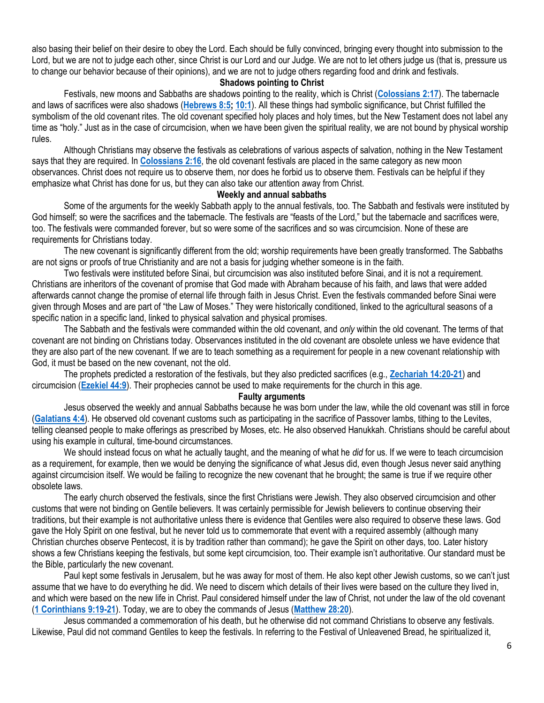also basing their belief on their desire to obey the Lord. Each should be fully convinced, bringing every thought into submission to the Lord, but we are not to judge each other, since Christ is our Lord and our Judge. We are not to let others judge us (that is, pressure us to change our behavior because of their opinions), and we are not to judge others regarding food and drink and festivals.

# **Shadows pointing to Christ**

Festivals, new moons and Sabbaths are shadows pointing to the reality, which is Christ (**[Colossians 2:17](https://biblia.com/bible/niv/Col%202.17)**). The tabernacle and laws of sacrifices were also shadows (**[Hebrews 8:5;](https://biblia.com/bible/niv/Heb%208.5) [10:1](https://biblia.com/bible/niv/Hebrews%2010.1)**). All these things had symbolic significance, but Christ fulfilled the symbolism of the old covenant rites. The old covenant specified holy places and holy times, but the New Testament does not label any time as "holy." Just as in the case of circumcision, when we have been given the spiritual reality, we are not bound by physical worship rules.

Although Christians may observe the festivals as celebrations of various aspects of salvation, nothing in the New Testament says that they are required. In **[Colossians 2:16](https://biblia.com/bible/niv/Col%202.16)**, the old covenant festivals are placed in the same category as new moon observances. Christ does not require us to observe them, nor does he forbid us to observe them. Festivals can be helpful if they emphasize what Christ has done for us, but they can also take our attention away from Christ.

#### **Weekly and annual sabbaths**

Some of the arguments for the weekly Sabbath apply to the annual festivals, too. The Sabbath and festivals were instituted by God himself; so were the sacrifices and the tabernacle. The festivals are "feasts of the Lord," but the tabernacle and sacrifices were, too. The festivals were commanded forever, but so were some of the sacrifices and so was circumcision. None of these are requirements for Christians today.

The new covenant is significantly different from the old; worship requirements have been greatly transformed. The Sabbaths are not signs or proofs of true Christianity and are not a basis for judging whether someone is in the faith.

Two festivals were instituted before Sinai, but circumcision was also instituted before Sinai, and it is not a requirement. Christians are inheritors of the covenant of promise that God made with Abraham because of his faith, and laws that were added afterwards cannot change the promise of eternal life through faith in Jesus Christ. Even the festivals commanded before Sinai were given through Moses and are part of "the Law of Moses." They were historically conditioned, linked to the agricultural seasons of a specific nation in a specific land, linked to physical salvation and physical promises.

The Sabbath and the festivals were commanded within the old covenant, and *only* within the old covenant. The terms of that covenant are not binding on Christians today. Observances instituted in the old covenant are obsolete unless we have evidence that they are also part of the new covenant. If we are to teach something as a requirement for people in a new covenant relationship with God, it must be based on the new covenant, not the old.

The prophets predicted a restoration of the festivals, but they also predicted sacrifices (e.g., **[Zechariah 14:20-21](https://biblia.com/bible/niv/Zech%2014.20-21)**) and circumcision (**[Ezekiel 44:9](https://biblia.com/bible/niv/Ezek%2044.9)**). Their prophecies cannot be used to make requirements for the church in this age.

**Faulty arguments**

Jesus observed the weekly and annual Sabbaths because he was born under the law, while the old covenant was still in force (**[Galatians 4:4](https://biblia.com/bible/niv/Gal%204.4)**). He observed old covenant customs such as participating in the sacrifice of Passover lambs, tithing to the Levites, telling cleansed people to make offerings as prescribed by Moses, etc. He also observed Hanukkah. Christians should be careful about using his example in cultural, time-bound circumstances.

We should instead focus on what he actually taught, and the meaning of what he *did* for us. If we were to teach circumcision as a requirement, for example, then we would be denying the significance of what Jesus did, even though Jesus never said anything against circumcision itself. We would be failing to recognize the new covenant that he brought; the same is true if we require other obsolete laws.

The early church observed the festivals, since the first Christians were Jewish. They also observed circumcision and other customs that were not binding on Gentile believers. It was certainly permissible for Jewish believers to continue observing their traditions, but their example is not authoritative unless there is evidence that Gentiles were also required to observe these laws. God gave the Holy Spirit on one festival, but he never told us to commemorate that event with a required assembly (although many Christian churches observe Pentecost, it is by tradition rather than command); he gave the Spirit on other days, too. Later history shows a few Christians keeping the festivals, but some kept circumcision, too. Their example isn't authoritative. Our standard must be the Bible, particularly the new covenant.

Paul kept some festivals in Jerusalem, but he was away for most of them. He also kept other Jewish customs, so we can't just assume that we have to do everything he did. We need to discern which details of their lives were based on the culture they lived in, and which were based on the new life in Christ. Paul considered himself under the law of Christ, not under the law of the old covenant (**[1 Corinthians 9:19-21](https://biblia.com/bible/niv/1%20Cor%209.19-21)**). Today, we are to obey the commands of Jesus (**[Matthew 28:20](https://biblia.com/bible/niv/Matt%2028.20)**).

Jesus commanded a commemoration of his death, but he otherwise did not command Christians to observe any festivals. Likewise, Paul did not command Gentiles to keep the festivals. In referring to the Festival of Unleavened Bread, he spiritualized it,